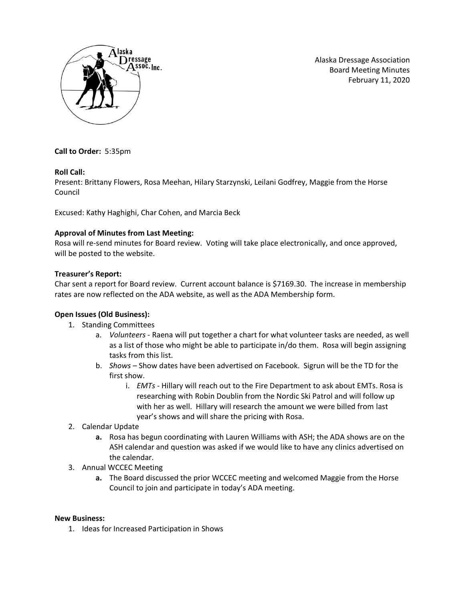

Alaska Dressage Association Board Meeting Minutes February 11, 2020

**Call to Order:** 5:35pm

# **Roll Call:**

Present: Brittany Flowers, Rosa Meehan, Hilary Starzynski, Leilani Godfrey, Maggie from the Horse Council

Excused: Kathy Haghighi, Char Cohen, and Marcia Beck

# **Approval of Minutes from Last Meeting:**

Rosa will re-send minutes for Board review. Voting will take place electronically, and once approved, will be posted to the website.

# **Treasurer's Report:**

Char sent a report for Board review. Current account balance is \$7169.30. The increase in membership rates are now reflected on the ADA website, as well as the ADA Membership form.

# **Open Issues (Old Business):**

- 1. Standing Committees
	- a. *Volunteers -* Raena will put together a chart for what volunteer tasks are needed, as well as a list of those who might be able to participate in/do them. Rosa will begin assigning tasks from this list.
	- b. *Shows –* Show dates have been advertised on Facebook. Sigrun will be the TD for the first show.
		- i. *EMTs -* Hillary will reach out to the Fire Department to ask about EMTs. Rosa is researching with Robin Doublin from the Nordic Ski Patrol and will follow up with her as well. Hillary will research the amount we were billed from last year's shows and will share the pricing with Rosa.
- 2. Calendar Update
	- **a.** Rosa has begun coordinating with Lauren Williams with ASH; the ADA shows are on the ASH calendar and question was asked if we would like to have any clinics advertised on the calendar.
- 3. Annual WCCEC Meeting
	- **a.** The Board discussed the prior WCCEC meeting and welcomed Maggie from the Horse Council to join and participate in today's ADA meeting.

## **New Business:**

1. Ideas for Increased Participation in Shows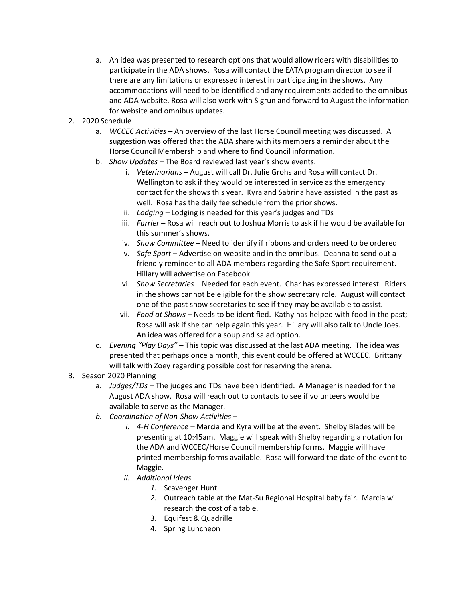- a. An idea was presented to research options that would allow riders with disabilities to participate in the ADA shows. Rosa will contact the EATA program director to see if there are any limitations or expressed interest in participating in the shows. Any accommodations will need to be identified and any requirements added to the omnibus and ADA website. Rosa will also work with Sigrun and forward to August the information for website and omnibus updates.
- 2. 2020 Schedule
	- a. *WCCEC Activities –* An overview of the last Horse Council meeting was discussed. A suggestion was offered that the ADA share with its members a reminder about the Horse Council Membership and where to find Council information.
	- b. *Show Updates –* The Board reviewed last year's show events.
		- i. *Veterinarians –* August will call Dr. Julie Grohs and Rosa will contact Dr. Wellington to ask if they would be interested in service as the emergency contact for the shows this year. Kyra and Sabrina have assisted in the past as well. Rosa has the daily fee schedule from the prior shows.
		- ii. *Lodging –* Lodging is needed for this year's judges and TDs
		- iii. *Farrier* Rosa will reach out to Joshua Morris to ask if he would be available for this summer's shows.
		- iv. *Show Committee*  Need to identify if ribbons and orders need to be ordered
		- v. *Safe Sport*  Advertise on website and in the omnibus. Deanna to send out a friendly reminder to all ADA members regarding the Safe Sport requirement. Hillary will advertise on Facebook.
		- vi. *Show Secretaries –* Needed for each event. Char has expressed interest. Riders in the shows cannot be eligible for the show secretary role. August will contact one of the past show secretaries to see if they may be available to assist.
		- vii. *Food at Shows –* Needs to be identified. Kathy has helped with food in the past; Rosa will ask if she can help again this year. Hillary will also talk to Uncle Joes. An idea was offered for a soup and salad option.
	- c. *Evening "Play Days" –* This topic was discussed at the last ADA meeting. The idea was presented that perhaps once a month, this event could be offered at WCCEC. Brittany will talk with Zoey regarding possible cost for reserving the arena.
- 3. Season 2020 Planning
	- a. *Judges/TDs –* The judges and TDs have been identified. A Manager is needed for the August ADA show. Rosa will reach out to contacts to see if volunteers would be available to serve as the Manager.
	- *b. Coordination of Non-Show Activities –*
		- *i. 4-H Conference –* Marcia and Kyra will be at the event. Shelby Blades will be presenting at 10:45am. Maggie will speak with Shelby regarding a notation for the ADA and WCCEC/Horse Council membership forms. Maggie will have printed membership forms available. Rosa will forward the date of the event to Maggie.
		- *ii. Additional Ideas –*
			- *1.* Scavenger Hunt
			- *2.* Outreach table at the Mat-Su Regional Hospital baby fair. Marcia will research the cost of a table.
			- 3. Equifest & Quadrille
			- 4. Spring Luncheon